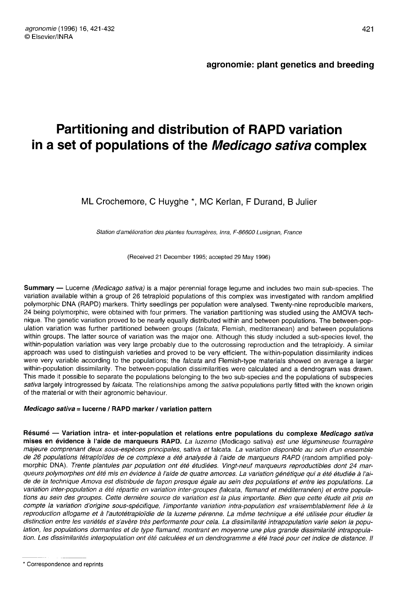# Partitioning and distribution of RAPD variation in a set of populations of the Medicago sativa complex

ML Crochemore, C Huyghe \*, MC Kerlan, F Durand, B Julier

Station d'amélioration des plantes fourragères, Inra, F-86600 Lusignan, France

(Received 21 December 1995; accepted 29 May 1996)

Summary — Lucerne *(Medicago sativa)* is a major perennial forage legume and includes two main sub-species. The variation available within a group of 26 tetraploid populations of this complex was investigated with random amplified polymorphic DNA (RAPD) markers. Thirty seedlings per population were analysed. Twenty-nine reproducible markers, 24 being polymorphic, were obtained with four primers. The variation partitioning was studied using the AMOVA technique. The genetic variation proved to be nearly equally distributed within and between populations. The between-population variation was further partitioned between groups (falcata, Flemish, mediterranean) and between populations within groups. The latter source of variation was the major one. Although this study included a sub-species level, the within-population variation was very large probably due to the outcrossing reproduction and the tetraploidy. A similar approach was used to distinguish varieties and proved to be very efficient. The within-population dissimilarity indices were very variable according to the populations; the falcata and Flemish-type materials showed on average a larger within-population dissimilarity. The between-population dissimilarities were calculated and a dendrogram was drawn. This made it possible to separate the populations belonging to the two sub-species and the populations of subspecies sativa largely introgressed by falcata. The relationships among the sativa populations partly fitted with the known origin of the material or with their agronomic behaviour.

# Medicago sativa = lucerne / RAPD marker / variation pattern

Résumé - Variation intra- et inter-population et relations entre populations du complexe Medicago sativa mises en évidence à l'aide de marqueurs RAPD. La luzerne (Medicago sativa) est une légumineuse fourragère majeure comprenant deux sous-espèces principales, sativa et falcata. La variation disponible au sein d'un ensemble de 26 populations tétraploïdes de ce complexe a été analysée à l'aide de marqueurs RAPD (random amplified polymorphic DNA). Trente plantules par population ont été étudiées. Vingt-neuf marqueurs reproductibles dont 24 marqueurs polymorphes ont été mis en évidence à l'aide de quatre amorces. La variation génétique qui a été étudiée à l'aide de la technique Amova est distribuée de façon presque égale au sein des populations et entre les populations. La variation inter-population a été répartie en variation inter-groupes (falcata, flamand et méditerranéen) et entre populations au sein des groupes. Cette dernière source de variation est la plus importante. Bien que cette étude ait pris en compte la variation d'origine sous-spécifique, l'importante variation intra-population est vraisemblablement liée à la reproduction allogame et à l'autotétraploïdie de la luzerne pérenne. La même technique a été utilisée pour étudier la distinction entre les variétés et s'avère très performante pour cela. La dissimilarité intrapopulation varie selon la population, les populations dormantes et de type flamand, montrant en moyenne une plus grande dissimilarité intrapopulation. Les dissimilarités interpopulation ont été calculées et un dendrogramme a été tracé pour cet indice de distance. Il

<sup>\*</sup> Correspondence and reprints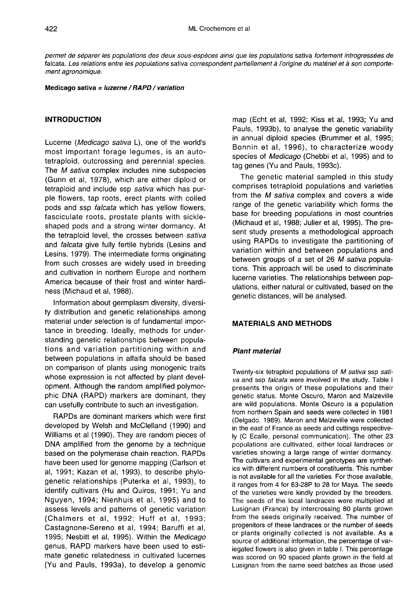permet de séparer les populations des deux sous-espèces ainsi que les populations sativa fortement introgressées de falcata. Les relations entre les populations sativa correspondent partiellement à l'origine du matériel et à son comportement agronomique.

Medicago sativa = luzerne / RAPD / variation

# INTRODUCTION

Lucerne (Medicago sativa L), one of the world's most important forage legumes, is an autotetraploid, outcrossing and perennial species. The *M sativa* complex includes nine subspecies (Gunn et al, 1978), which are either diploid or tetraploid and include ssp sativa which has purple flowers, tap roots, erect plants with coiled pods and ssp falcata which has yellow flowers, fasciculate roots, prostate plants with sickleshaped pods and a strong winter dormancy. At the tetraploid level, the crosses between sativa and falcata give fully fertile hybrids (Lesins and Lesins, 1979). The intermediate forms originating from such crosses are widely used in breeding and cultivation in northern Europe and northern America because of their frost and winter hardiness (Michaud et al, 1988).

Information about germplasm diversity, diversity distribution and genetic relationships among material under selection is of fundamental importance in breeding. Ideally, methods for understanding genetic relationships between populations and variation partitioning within and between populations in alfalfa should be based on comparison of plants using monogenic traits whose expression is not affected by plant development. Although the random amplified polymorphic DNA (RAPD) markers are dominant, they can usefully contribute to such an investigation.

RAPDs are dominant markers which were first developed by Welsh and McClelland (1990) and Williams et al (1990). They are random pieces of DNA amplified from the genome by a technique based on the polymerase chain reaction. RAPDs have been used for genome mapping (Carlson et al, 1991; Kazan et al, 1993), to describe phylogenetic relationships (Puterka et al, 1993), to identify cultivars (Hu and Quiros, 1991; Yu and Nguyen, 1994; Nienhuis et al, 1995) and to assess levels and patterns of genetic variation (Chalmers et al, 1992; Huff et al, 1993; Castagnone-Sereno et al, 1994; Baruffi et al, 1995; Nesbitt et al, 1995). Within the Medicago genus, RAPD markers have been used to estimate genetic relatedness in cultivated lucernes (Yu and Pauls, 1993a), to develop a genomic

map (Echt et al, 1992; Kiss et al, 1993; Yu and Pauls, 1993b), to analyse the genetic variability in annual diploid species (Brummer et al, 1995; Bonnin et al, 1996), to characterize woody species of Medicago (Chebbi et al, 1995) and to tag genes (Yu and Pauls, 1993c).

The genetic material sampled in this study comprises tetraploid populations and varieties from the M sativa complex and covers a wide range of the genetic variability which forms the base for breeding populations in most countries (Michaud et al, 1988; Julier et al, 1995). The present study presents a methodological approach using RAPDs to investigate the partitioning of variation within and between populations and between groups of a set of 26 M sativa populations. This approach will be used to discriminate lucerne varieties. The relationships between populations, either natural or cultivated, based on the genetic distances, will be analysed.

# MATERIALS AND METHODS

# Plant material

Twenty-six tetraploid populations of M sativa ssp sativa and ssp falcata were involved in the study. Table I presents the origin of these populations and their genetic status. Monte Oscuro, Maron and Malzeville are wild populations. Monte Oscuro is a population from northern Spain and seeds were collected in 1981 (Delgado, 1989). Maron and Malzeville were collected in the east of France as seeds and cuttings respectively (C Ecalle, personal communication). The other 23 populations are cultivated, either local landraces or varieties showing a large range of winter dormancy. The cultivars and experimental genotypes are synthetics with different numbers of constituents. This number is not available for all the varieties. For those available, it ranges from 4 for 63-28P to 28 for Maya. The seeds of the varieties were kindly provided by the breeders. The seeds of the local landraces were multiplied at Lusignan (France) by intercrossing 80 plants grown from the seeds originally received. The number of progenitors of these landraces or the number of seeds or plants originally collected is not available. As a source of additional information, the percentage of variegated flowers is also given in table I. This percentage was scored on 90 spaced plants grown in the field at Lusignan from the same seed batches as those used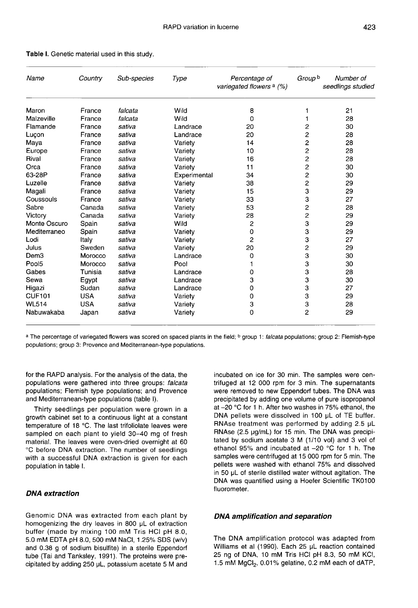| Name             | Country    | Sub-species | Type         | Percentage of<br>variegated flowers <sup>a</sup> (%) | Group <sup>b</sup>      | Number of<br>seedlings studied |
|------------------|------------|-------------|--------------|------------------------------------------------------|-------------------------|--------------------------------|
| Maron            | France     | falcata     | Wild         | 8                                                    |                         | 21                             |
| Malzeville       | France     | falcata     | Wild         | $\Omega$                                             |                         | 28                             |
| Flamande         | France     | sativa      | Landrace     | 20                                                   | 2                       | 30                             |
| Luçon            | France     | sativa      | Landrace     | 20                                                   | 2                       | 28                             |
| Maya             | France     | sativa      | Variety      | 14                                                   | $\overline{\mathbf{c}}$ | 28                             |
| Europe           | France     | sativa      | Variety      | 10                                                   | 2                       | 28                             |
| Rival            | France     | sativa      | Variety      | 16                                                   | 2                       | 28                             |
| Orca             | France     | sativa      | Variety      | 11                                                   | $\overline{2}$          | 30                             |
| 63-28P           | France     | sativa      | Experimental | 34                                                   | 2                       | 30                             |
| Luzelle          | France     | sativa      | Variety      | 38                                                   | 2                       | 29                             |
| Magali           | France     | sativa      | Variety      | 15                                                   | 3                       | 29                             |
| Coussouls        | France     | sativa      | Variety      | 33                                                   | 3                       | 27                             |
| Sabre            | Canada     | sativa      | Variety      | 53                                                   | $\overline{\mathbf{c}}$ | 28                             |
| Victory          | Canada     | sativa      | Variety      | 28                                                   | $\overline{c}$          | 29                             |
| Monte Oscuro     | Spain      | sativa      | Wild         | 2                                                    | 3                       | 29                             |
| Mediterraneo     | Spain      | sativa      | Variety      | 0                                                    | 3                       | 29                             |
| Lodi             | Italy      | sativa      | Variety      | $\overline{c}$                                       | 3                       | 27                             |
| Julus            | Sweden     | sativa      | Variety      | 20                                                   | $\overline{c}$          | 29                             |
| Dem <sub>3</sub> | Morocco    | sativa      | Landrace     | 0                                                    | 3                       | 30                             |
| Pool5            | Morocco    | sativa      | Pool         |                                                      | 3                       | 30                             |
| Gabes            | Tunisia    | sativa      | Landrace     | 0                                                    | 3                       | 28                             |
| Sewa             | Egypt      | sativa      | Landrace     | 3                                                    | 3                       | 30                             |
| Higazi           | Sudan      | sativa      | Landrace     | 0                                                    | 3                       | 27                             |
| <b>CUF101</b>    | <b>USA</b> | sativa      | Variety      | 0                                                    | 3                       | 29                             |
| <b>WL514</b>     | <b>USA</b> | sativa      | Variety      | $\ensuremath{\mathsf{3}}$                            | 3                       | 28                             |
| Nabuwakaba       | Japan      | sativa      | Variety      | 0                                                    | $\overline{c}$          | 29                             |

#### Table I. Genetic material used in this study.

a The percentage of variegated flowers was scored on spaced plants in the field; <sup>b</sup> group 1: falcata populations; group 2: Flemish-type populations; group 3: Provence and Mediterranean-type populations.

for the RAPD analysis. For the analysis of the data, the populations were gathered into three groups: falcata populations; Flemish type populations; and Provence and Mediterranean-type populations (table I).

Thirty seedlings per population were grown in a growth cabinet set to a continuous light at a constant temperature of 18 °C. The last trifoliolate leaves were sampled on each plant to yield 30-40 mg of fresh material. The leaves were oven-dried overnight at 60 °C before DNA extraction. The number of seedlings with a successful DNA extraction is given for each population in table I.

#### DNA extraction

Genomic DNA was extracted from each plant by homogenizing the dry leaves in 800 μL of extraction buffer (made by mixing 100 mM Tris HCl pH 8.0, 5.0 mM EDTA pH 8.0, 500 mM NaCl, 1.25% SDS (w/v) and 0.38 g of sodium bisulfite) in a sterile Eppendorf tube (Tai and Tanksley, 1991). The proteins were precipitated by adding 250 μL, potassium acetate 5 M and incubated on ice for 30 min. The samples were cenwere removed to new Eppendorf tubes. The DNA was precipitated by adding one volume of pure isopropanol at -20 °C for 1 h. After two washes in 75% ethanol, the DNA pellets were dissolved in 100 μL of TE buffer. RNAse treatment was performed by adding 2.5 μL RNAse (2.5 μg/mL) for 15 min. The DNA was precipitated by sodium acetate 3 M (1/10 vol) and 3 vol of ethanol 95% and incubated at -20 °C for 1 h. The samples were centrifuged at 15 000 rpm for 5 min. The pellets were washed with ethanol 75% and dissolved in 50 μL of sterile distilled water without agitation. The DNA was quantified using a Hoefer Scientific TK0100 fluorometer.

# DNA amplification and separation

The DNA amplification protocol was adapted from Williams et al (1990). Each 25 μL reaction contained<br>25 ng of DNA, 10 mM Tris HCl pH 8.3, 50 mM KCl,<br>1.5 mM MgCl<sub>2</sub>, 0.01% gelatine, 0.2 mM each of dATP, 25 ng of DNA, 10 mM Tris HCl pH 8.3, 50 mM KCl, 1.5 mM MgCl<sub>2</sub>, 0.01% gelatine, 0.2 mM each of dATP,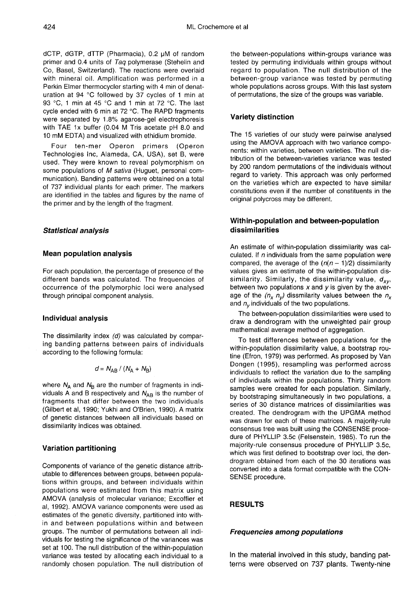dCTP, dGTP, dTTP (Pharmacia), 0.2 μM of random primer and 0.4 units of Taq polymerase (Stehelin and Co, Basel, Switzerland). The reactions were overlaid with mineral oil. Amplification was performed in a Perkin Elmer thermocycler starting with 4 min of denaturation at 94 °C followed by 37 cycles of 1 min at 93 °C, 1 min at 45 °C and 1 min at 72 °C. The last cycle ended with 6 min at 72 °C. The RAPD fragments were separated by 1.8% agarose-gel electrophoresis with TAE 1x buffer (0.04 M Tris acetate pH 8.0 and 10 mM EDTA) and visualized with ethidium bromide.

Four ten-mer Operon primers (Operon Technologies Inc, Alameda, CA, USA), set B, were used. They were known to reveal polymorphism on some populations of M sativa (Huguet, personal communication). Banding patterns were obtained on a total of 737 individual plants for each primer. The markers are identified in the tables and figures by the name of the primer and by the length of the fragment.

#### Statistical analysis

#### Mean population analysis

For each population, the percentage of presence of the different bands was calculated. The frequencies of occurrence of the polymorphic loci were analysed through principal component analysis.

#### Individual analysis

The dissimilarity index  $(d)$  was calculated by comparing banding patterns between pairs of individuals according to the following formula:

$$
d = N_{AB} / (N_A + N_B)
$$

where  $N_A$  and  $N_B$  are the number of fragments in individuals A and B respectively and  $N_{AB}$  is the number of fragments that differ between the two individuals (Gilbert et al, 1990; Yukhi and O'Brien, 1990). A matrix of genetic distances between all individuals based on dissimilarity indices was obtained.

# Variation partitioning

Components of variance of the genetic distance attributable to differences between groups, between populations within groups, and between individuals within populations were estimated from this matrix using AMOVA (analysis of molecular variance; Excoffier et al, 1992). AMOVA variance components were used as estimates of the genetic diversity, partitioned into within and between populations within and between groups. The number of permutations between all individuals for testing the significance of the variances was set at 100. The null distribution of the within-population variance was tested by allocating each individual to a randomly chosen population. The null distribution of

the between-populations within-groups variance was tested by permuting individuals within groups without regard to population. The null distribution of the between-group variance was tested by permuting whole populations across groups. With this last system of permutations, the size of the groups was variable.

# Variety distinction

The 15 varieties of our study were pairwise analysed using the AMOVA approach with two variance components: within varieties, between varieties. The null distribution of the between-varieties variance was tested by 200 random permutations of the individuals without regard to variety. This approach was only performed on the varieties which are expected to have similar constitutions even if the number of constituents in the original polycross may be different.

# Within-population and between-population dissimilarities

An estimate of within-population dissimilarity was calculated. If  *individuals from the same population were* compared, the average of the  $(n(n - 1)/2)$  dissimilarity values gives an estimate of the within-population dissimilarity. Similarly, the dissimilarity value,  $d_{xy}$ , between two populations x and y is given by the average of the  $(n_x n_y)$  dissmilarity values between the  $n_x$  and  $n_y$  individuals of the two populations.

The between-population dissimilarities were used to draw a dendrogram with the unweighted pair group mathematical average method of aggregation.

To test differences between populations for the within-population dissimilarity value, a bootstrap routine (Efron, 1979) was performed. As proposed by Van Dongen (1995), resampling was performed across individuals to reflect the variation due to the sampling of individuals within the populations. Thirty random samples were created for each population. Similarly, by bootstraping simultaneously in two populations, a series of 30 distance matrices of dissimilarities was created. The dendrogram with the UPGMA method was drawn for each of these matrices. A majority-rule consensus tree was built using the CONSENSE procedure of PHYLLIP 3.5c (Felsenstein, 1985). To run the majority-rule consensus procedure of PHYLLIP 3.5c, which was first defined to bootstrap over loci, the dendrogram obtained from each of the 30 iterations was converted into a data format compatible with the CON-SENSE procedure.

# RESULTS

# Frequencies among populations

In the material involved in this study, banding patterns were observed on 737 plants. Twenty-nine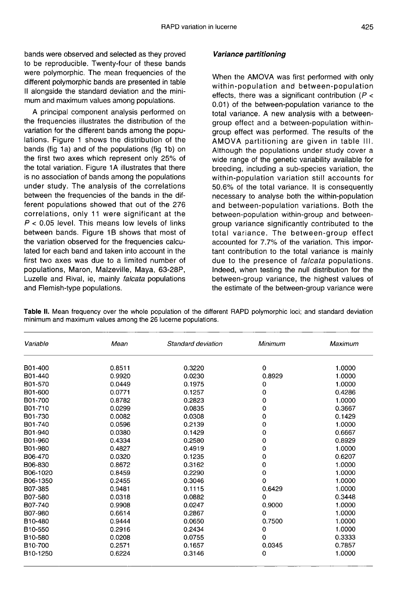bands were observed and selected as they proved to be reproducible. Twenty-four of these bands were polymorphic. The mean frequencies of the different polymorphic bands are presented in table II alongside the standard deviation and the minimum and maximum values among populations.

A principal component analysis performed on the frequencies illustrates the distribution of the variation for the different bands among the populations. Figure 1 shows the distribution of the bands (fig 1a) and of the populations (fig 1b) on the first two axes which represent only 25% of the total variation. Figure 1A illustrates that there is no association of bands among the populations under study. The analysis of the correlations between the frequencies of the bands in the different populations showed that out of the 276 correlations, only 11 were significant at the  $P < 0.05$  level. This means low levels of links between bands. Figure 1B shows that most of the variation observed for the frequencies calculated for each band and taken into account in the first two axes was due to a limited number of populations, Maron, Malzeville, Maya, 63-28P, Luzelle and Rival, ie, mainly falcata populations and Flemish-type populations.

# Variance partitioning

When the AMOVA was first performed with only within-population and between-population effects, there was a significant contribution ( $P <$ 0.01) of the between-population variance to the total variance. A new analysis with a betweengroup effect and a between-population withingroup effect was performed. The results of the AMOVA partitioning are given in table III. Although the populations under study cover a wide range of the genetic variability available for breeding, including a sub-species variation, the within-population variation still accounts for 50.6% of the total variance. It is consequently necessary to analyse both the within-population and between-population variations. Both the between-population within-group and betweengroup variance significantly contributed to the total variance. The between-group effect accounted for 7.7% of the variation. This important contribution to the total variance is mainly due to the presence of *falcata* populations. Indeed, when testing the null distribution for the between-group variance, the highest values of the estimate of the between-group variance were

Table II. Mean frequency over the whole population of the different RAPD polymorphic loci; and standard deviation minimum and maximum values among the 26 lucerne populations.

| Variable              | Mean   | Standard deviation | Minimum  | Maximum |  |
|-----------------------|--------|--------------------|----------|---------|--|
| B01-400               | 0.8511 | 0.3220             | 0        | 1.0000  |  |
| B01-440               | 0.9920 | 0.0230             | 0.8929   | 1.0000  |  |
| B01-570               | 0.0449 | 0.1975             | 0        | 1.0000  |  |
| B01-600               | 0.0771 | 0.1257             | 0        | 0.4286  |  |
| B01-700               | 0.8782 | 0.2823             | 0        | 1.0000  |  |
| B01-710               | 0.0299 | 0.0835             | 0        | 0.3667  |  |
| B01-730               | 0.0082 | 0.0308             | 0        | 0.1429  |  |
| B01-740               | 0.0596 | 0.2139             | 0        | 1.0000  |  |
| B01-940               | 0.0380 | 0.1429             | 0        | 0.6667  |  |
| B01-960               | 0.4334 | 0.2580             | 0        | 0.8929  |  |
| B01-980               | 0.4827 | 0.4919             | 0        | 1.0000  |  |
| B06-470               | 0.0320 | 0.1235             | 0        | 0.6207  |  |
| B06-830               | 0.8672 | 0.3162             | 0        | 1.0000  |  |
| B06-1020              | 0.8459 | 0.2290             | 0        | 1.0000  |  |
| B06-1350              | 0.2455 | 0.3046             | 0        | 1.0000  |  |
| B07-385               | 0.9481 | 0.1115             | 0.6429   | 1.0000  |  |
| B07-580               | 0.0318 | 0.0882             | 0        | 0.3448  |  |
| B07-740               | 0.9908 | 0.0247             | 0.9000   | 1.0000  |  |
| B07-980               | 0.6614 | 0.2867             | $\Omega$ | 1.0000  |  |
| B <sub>10</sub> -480  | 0.9444 | 0.0650             | 0.7500   | 1.0000  |  |
| B <sub>10</sub> -550  | 0.2916 | 0.2434             | 0        | 1.0000  |  |
| B10-580               | 0.0208 | 0.0755             | 0        | 0.3333  |  |
| B <sub>10</sub> -700  | 0.2571 | 0.1657             | 0.0345   | 0.7857  |  |
| B <sub>10</sub> -1250 | 0.6224 | 0.3146             | 0        | 1.0000  |  |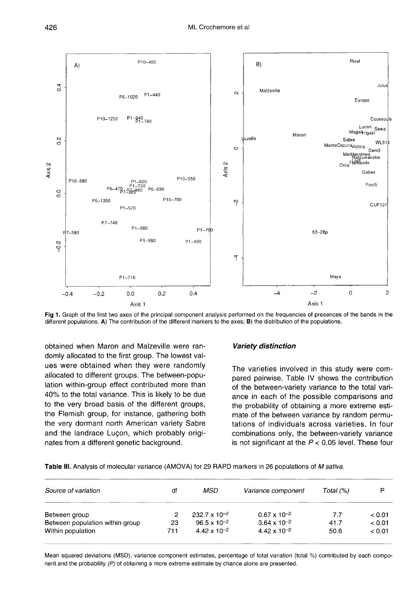

Fig 1. Graph of the first two axes of the principal component analysis performed on the frequencies of presences of the bands in the different populations. A) The contribution of the different markers to the axes; B) the distribution of the populations.

obtained when Maron and Malzeville were randomly allocated to the first group. The lowest values were obtained when they were randomly allocated to different groups. The between-population within-group effect contributed more than 40% to the total variance. This is likely to be due to the very broad basis of the different groups, the Flemish group, for instance, gathering both the very dormant north American variety Sabre and the landrace Luçon, which probably originates from a different genetic background.

# Variety distinction

The varieties involved in this study were compared pairwise. Table IV shows the contribution of the between-variety variance to the total variance in each of the possible comparisons and the probability of obtaining a more extreme estimate of the between variance by random permutations of individuals across varieties. In four combinations only, the between-variety variance is not significant at the  $P < 0.05$  level. These four

Table III. Analysis of molecular variance (AMOVA) for 29 RAPD markers in 26 populations of M sativa.

| Source of variation             | df  | MSD                    | Variance component    | Total (%) | P      |
|---------------------------------|-----|------------------------|-----------------------|-----------|--------|
| Between group                   | 2   | $232.7 \times 10^{-2}$ | $0.67 \times 10^{-2}$ | 7.7       | < 0.01 |
| Between population within group | 23  | $96.5 \times 10^{-2}$  | $3.64 \times 10^{-2}$ | 41.7      | < 0.01 |
| Within population               | 711 | $4.42 \times 10^{-2}$  | $4.42 \times 10^{-2}$ | 50.6      | < 0.01 |

Mean squared deviations (MSD), variance component estimates, percentage of total variation (total %) contributed by each component and the probability (P) of obtaining a more extreme estimate by chance alone are presented.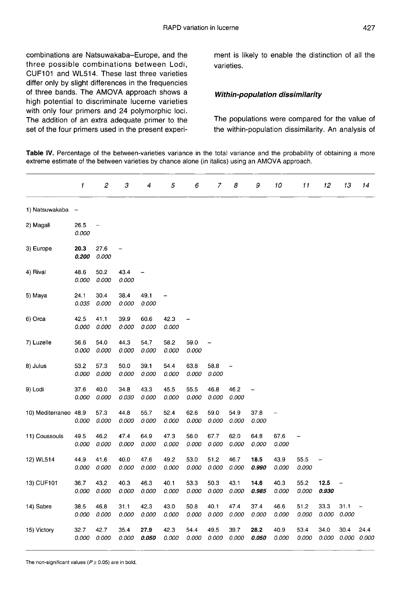combinations are Natsuwakaba-Europe, and the three possible combinations between Lodi, CUF101 and WL514. These last three varieties differ only by slight differences in the frequencies of three bands. The AMOVA approach shows a high potential to discriminate lucerne varieties with only four primers and 24 polymorphic loci. The addition of an extra adequate primer to the set of the four primers used in the present experiment is likely to enable the distinction of all the varieties.

# Within-population dissimilarity

The populations were compared for the value of the within-population dissimilarity. An analysis of

Table IV. Percentage of the between-varieties variance in the total variance and the probability of obtaining a more extreme estimate of the between varieties by chance alone (in italics) using an AMOVA approach.

|                  | 1                            | $\boldsymbol{2}$         | 3             | 4             | 5             | 6             | 7                 | 8             | 9             | 10                | 11            | 12            | 13            | 14            |
|------------------|------------------------------|--------------------------|---------------|---------------|---------------|---------------|-------------------|---------------|---------------|-------------------|---------------|---------------|---------------|---------------|
| 1) Natsuwakaba   | $\qquad \qquad \blacksquare$ |                          |               |               |               |               |                   |               |               |                   |               |               |               |               |
| 2) Magali        | 26.5<br>0.000                | $\overline{\phantom{0}}$ |               |               |               |               |                   |               |               |                   |               |               |               |               |
| 3) Europe        | 20.3<br>0.200                | 27.6<br>0.000            |               |               |               |               |                   |               |               |                   |               |               |               |               |
| 4) Rival         | 48.6<br>0.000                | 50.2<br>0.000            | 43.4<br>0.000 | -             |               |               |                   |               |               |                   |               |               |               |               |
| 5) Maya          | 24.1<br>0.035                | 30.4<br>0.000            | 38.4<br>0.000 | 49.1<br>0.000 |               |               |                   |               |               |                   |               |               |               |               |
| 6) Orca          | 42.5<br>0.000                | 41.1<br>0.000            | 39.9<br>0.000 | 60.6<br>0.000 | 42.3<br>0.000 |               |                   |               |               |                   |               |               |               |               |
| 7) Luzelle       | 56.6<br>0.000                | 54.0<br>0.000            | 44.3<br>0.000 | 54.7<br>0.000 | 58.2<br>0.000 | 59.0<br>0.000 | $\qquad \qquad -$ |               |               |                   |               |               |               |               |
| 8) Julus         | 53.2<br>0.000                | 57.3<br>0.000            | 50.0<br>0.000 | 39.1<br>0.000 | 54.4<br>0.000 | 63.8<br>0.000 | 58.8<br>0.000     |               |               |                   |               |               |               |               |
| 9) Lodi          | 37.6<br>0.000                | 40.0<br>0.000            | 34.8<br>0.030 | 43.3<br>0.000 | 45.5<br>0.000 | 55.5<br>0.000 | 46.8<br>0.000     | 46.2<br>0.000 |               |                   |               |               |               |               |
| 10) Mediterraneo | 48.9<br>0.000                | 57.3<br>0.000            | 44.8<br>0.000 | 55.7<br>0.000 | 52.4<br>0.000 | 62.6<br>0.000 | 59.0<br>0.000     | 54.9<br>0.000 | 37.8<br>0.000 | $\qquad \qquad -$ |               |               |               |               |
| 11) Coussouls    | 49.5<br>0.000                | 46.2<br>0.000            | 47.4<br>0.000 | 64.9<br>0.000 | 47.3<br>0.000 | 56.0<br>0.000 | 67.7<br>0.000     | 62.0<br>0.000 | 648<br>0.000  | 67.6<br>0.000     |               |               |               |               |
| 12) WL514        | 44.9<br>0.000                | 41.6<br>0.000            | 40.0<br>0.000 | 47.6<br>0.000 | 49.2<br>0.000 | 53.0<br>0.000 | 51.2<br>0.000     | 46.7<br>0.000 | 18.5<br>0.990 | 43.9<br>0.000     | 55.5<br>0.000 |               |               |               |
| 13) CUF101       | 36.7<br>0.000                | 43.2<br>0.000            | 40.3<br>0.000 | 46.3<br>0.000 | 40.1<br>0.000 | 53.3<br>0.000 | 50.3<br>0.000     | 43.1<br>0.000 | 14.6<br>0.985 | 40.3<br>0.000     | 55.2<br>0.000 | 12.5<br>0.930 |               |               |
| 14) Sabre        | 38.5<br>0.000                | 46.8<br>0.000            | 31.1<br>0.000 | 42.3<br>0.000 | 43.0<br>0.000 | 50.8<br>0.000 | 40.1<br>0.000     | 47.4<br>0.000 | 37.4<br>0.000 | 46.6<br>0.000     | 51.2<br>0.000 | 33.3<br>0.000 | 31.1<br>0.000 |               |
| 15) Victory      | 32.7<br>0.000                | 42.7<br>0.000            | 35.4<br>0.000 | 27.9<br>0.050 | 42.3<br>0.000 | 54.4<br>0.000 | 49.5<br>0.000     | 39.7<br>0.000 | 28.2<br>0.050 | 40.9<br>0.000     | 53.4<br>0.000 | 34.0<br>0.000 | 30.4<br>0.000 | 24.4<br>0.000 |

The non-significant values ( $P \ge 0.05$ ) are in bold.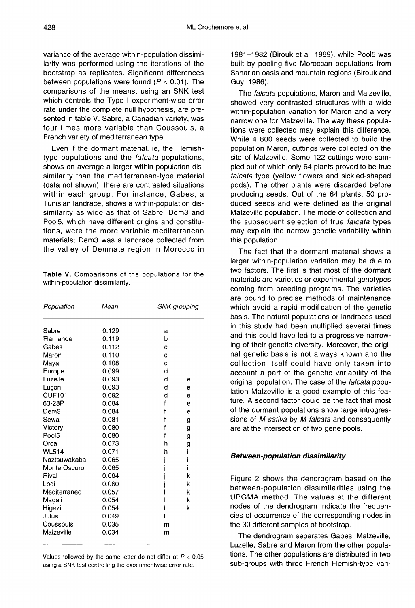variance of the average within-population dissimilarity was performed using the iterations of the bootstrap as replicates. Significant differences between populations were found ( $P < 0.01$ ). The comparisons of the means, using an SNK test which controls the Type I experiment-wise error rate under the complete null hypothesis, are presented in table V. Sabre, a Canadian variety, was four times more variable than Coussouls, a French variety of mediterranean type.

Even if the dormant material, ie, the Flemishtype populations and the *falcata* populations, shows on average a larger within-population dissimilarity than the mediterranean-type material (data not shown), there are contrasted situations within each group. For instance, Gabes, a Tunisian landrace, shows a within-population dissimilarity as wide as that of Sabre. Dem3 and Pool5, which have different origins and constitutions, were the more variable mediterranean materials; Dem3 was a landrace collected from the valley of Demnate region in Morocco in

Table V. Comparisons of the populations for the within-population dissimilarity.

| Population        | Mean  | SNK grouping |   |  |
|-------------------|-------|--------------|---|--|
| Sabre             | 0.129 | a            |   |  |
| Flamande          | 0.119 | b            |   |  |
| Gabes             | 0.112 | с            |   |  |
| Maron             | 0.110 | C            |   |  |
| Maya              | 0.108 | c            |   |  |
| Europe            | 0.099 | d            |   |  |
| Luzelle           | 0.093 | d            | е |  |
| Luçon             | 0.093 | d            | е |  |
| <b>CUF101</b>     | 0.092 | d            | e |  |
| 63-28P            | 0.084 | f            | e |  |
| Dem3              | 0.084 | f            | е |  |
| Sewa              | 0.081 | f            | g |  |
| Victory           | 0.080 | f            | g |  |
| Pool <sub>5</sub> | 0.080 | f            | g |  |
| Orca              | 0.073 | h            | g |  |
| <b>WL514</b>      | 0.071 | h            |   |  |
| Naztsuwakaba      | 0.065 |              | ı |  |
| Monte Oscuro      | 0.065 |              | i |  |
| Rival             | 0.064 |              | k |  |
| Lodi              | 0.060 |              | k |  |
| Mediterraneo      | 0.057 |              | k |  |
| Magali            | 0.054 |              | k |  |
| Higazi            | 0.054 |              | k |  |
| Julus             | 0.049 |              |   |  |
| Coussouls         | 0.035 | m            |   |  |
| Malzeville        | 0.034 | m            |   |  |

Values followed by the same letter do not differ at  $P < 0.05$ using a SNK test controlling the experimentwise error rate.

1981-1982 (Birouk et al, 1989), while Pool5 was built by pooling five Moroccan populations from Saharian oasis and mountain regions (Birouk and Guy, 1986).

The falcata populations, Maron and Malzeville, showed very contrasted structures with a wide within-population variation for Maron and a very narrow one for Malzeville. The way these populations were collected may explain this difference. While 4 800 seeds were collected to build the population Maron, cuttings were collected on the site of Malzeville. Some 122 cuttings were sampled out of which only 64 plants proved to be true falcata type (yellow flowers and sickled-shaped pods). The other plants were discarded before producing seeds. Out of the 64 plants, 50 produced seeds and were defined as the original Malzeville population. The mode of collection and the subsequent selection of true falcata types may explain the narrow genetic variability within this population.

The fact that the dormant material shows a larger within-population variation may be due to two factors. The first is that most of the dormant materials are varieties or experimental genotypes coming from breeding programs. The varieties are bound to precise methods of maintenance which avoid a rapid modification of the genetic basis. The natural populations or landraces used in this study had been multiplied several times and this could have led to a progressive narrowing of their genetic diversity. Moreover, the original genetic basis is not always known and the collection itself could have only taken into account a part of the genetic variability of the original population. The case of the falcata population Malzeville is a good example of this feature. A second factor could be the fact that most of the dormant populations show large introgressions of M sativa by M falcata and consequently are at the intersection of two gene pools.

# Between-population dissimilarity

Figure 2 shows the dendrogram based on the between-population dissimilarities using the UPGMA method. The values at the different nodes of the dendrogram indicate the frequencies of occurrence of the corresponding nodes in the 30 different samples of bootstrap.

The dendrogram separates Gabes, Malzeville, Luzelle, Sabre and Maron from the other populations. The other populations are distributed in two sub-groups with three French Flemish-type vari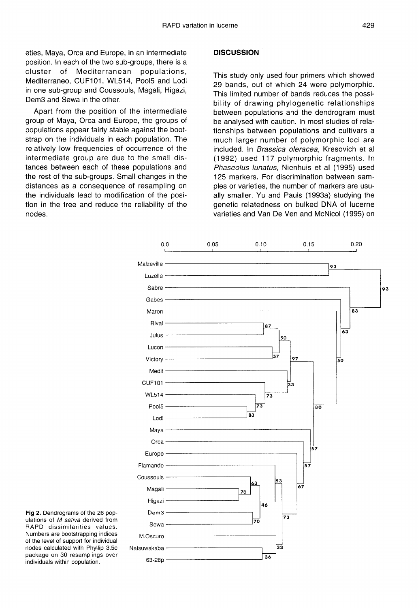eties, Maya, Orca and Europe, in an intermediate position. In each of the two sub-groups, there is a cluster of Mediterranean populations, Mediterraneo, CUF101, WL514, Pool5 and Lodi in one sub-group and Coussouls, Magali, Higazi, Dem3 and Sewa in the other.

Apart from the position of the intermediate group of Maya, Orca and Europe, the groups of populations appear fairly stable against the bootstrap on the individuals in each population. The relatively low frequencies of occurrence of the intermediate group are due to the small distances between each of these populations and the rest of the sub-groups. Small changes in the distances as a consequence of resampling on the individuals lead to modification of the position in the tree and reduce the reliability of the nodes.

# **DISCUSSION**

This study only used four primers which showed 29 bands, out of which 24 were polymorphic. This limited number of bands reduces the possibility of drawing phylogenetic relationships between populations and the dendrogram must be analysed with caution. In most studies of relationships between populations and cultivars a much larger number of polymorphic loci are included. In Brassica oleracea, Kresovich et al (1992) used 117 polymorphic fragments. In Phaseolus lunatus, Nienhuis et al (1995) used 125 markers. For discrimination between samples or varieties, the number of markers are usually smaller. Yu and Pauls (1993a) studying the genetic relatedness on bulked DNA of lucerne varieties and Van De Ven and McNicol (1995) on



Fig 2. Dendrograms of the 26 populations of M sativa derived from RAPD dissimilarities values. Numbers are bootstrapping indices of the level of support for individual nodes calculated with Phyllip 3.5c package on 30 resamplings over individuals within population.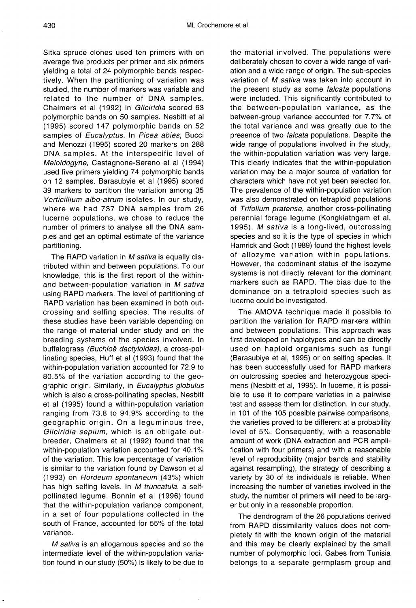Sitka spruce clones used ten primers with on average five products per primer and six primers yielding a total of 24 polymorphic bands respectively. When the partitioning of variation was studied, the number of markers was variable and related to the number of DNA samples. Chalmers et al (1992) in Gliciridia scored 63 polymorphic bands on 50 samples. Nesbitt et al (1995) scored 147 polymorphic bands on 52 samples of Eucalyptus. In Picea abies, Bucci and Menozzi (1995) scored 20 markers on 288 DNA samples. At the interspecific level of Meloidogyne, Castagnone-Sereno et al (1994) used five primers yielding 74 polymorphic bands on 12 samples. Barasubyie et al (1995) scored 39 markers to partition the variation among 35 Verticillium albo-atrum isolates. In our study, where we had 737 DNA samples from 26 lucerne populations, we chose to reduce the number of primers to analyse all the DNA samples and get an optimal estimate of the variance partitioning.

The RAPD variation in M sativa is equally distributed within and between populations. To our knowledge, this is the first report of the withinand between-population variation in M sativa using RAPD markers. The level of partitioning of RAPD variation has been examined in both outcrossing and selfing species. The results of these studies have been variable depending on the range of material under study and on the breeding systems of the species involved. In buffalograss (Buchloë dactyloides), a cross-pollinating species, Huff et al (1993) found that the within-population variation accounted for 72.9 to 80.5% of the variation according to the geographic origin. Similarly, in Eucalyptus globulus which is also a cross-pollinating species, Nesbitt et al (1995) found a within-population variation ranging from 73.8 to 94.9% according to the geographic origin. On a leguminous tree, Gliciridia sepium, which is an obligate outbreeder, Chalmers et al (1992) found that the within-population variation accounted for 40.1% of the variation. This low percentage of variation is similar to the variation found by Dawson et al (1993) on Hordeum spontaneum (43%) which has high selfing levels. In M truncatula, a selfpollinated legume, Bonnin et al (1996) found that the within-population variance component, in a set of four populations collected in the south of France, accounted for 55% of the total variance.

M sativa is an allogamous species and so the intermediate level of the within-population variation found in our study (50%) is likely to be due to

the material involved. The populations were deliberately chosen to cover a wide range of variation and a wide range of origin. The sub-species variation of M sativa was taken into account in the present study as some *falcata* populations were included. This significantly contributed to the between-population variance, as the between-group variance accounted for 7.7% of the total variance and was greatly due to the presence of two falcata populations. Despite the wide range of populations involved in the study, the within-population variation was very large. This clearly indicates that the within-population variation may be a major source of variation for characters which have not yet been selected for. The prevalence of the within-population variation was also demonstrated on tetraploid populations of Trifolium pratense, another cross-pollinating perennial forage legume (Kongkiatngam et al, 1995). M sativa is a long-lived, outcrossing species and so it is the type of species in which Hamrick and Godt (1989) found the highest levels of allozyme variation within populations. However, the codominant status of the isozyme systems is not directly relevant for the dominant markers such as RAPD. The bias due to the dominance on a tetraploid species such as lucerne could be investigated.

The AMOVA technique made it possible to partition the variation for RAPD markers within and between populations. This approach was first developed on haplotypes and can be directly used on haploid organisms such as fungi (Barasubiye et al, 1995) or on selfing species. It has been successfully used for RAPD markers on outcrossing species and heterozygous speci mens (Nesbitt et al, 1995). In lucerne, it is possible to use it to compare varieties in a pairwise test and assess them for distinction. In our study, in 101 of the 105 possible pairwise comparisons, the varieties proved to be different at a probability level of 5%. Consequently, with a reasonable amount of work (DNA extraction and PCR amplification with four primers) and with a reasonable level of reproducibility (major bands and stability against resampling), the strategy of describing a variety by 30 of its individuals is reliable. When increasing the number of varieties involved in the study, the number of primers will need to be larg er but only in a reasonable proportion.

The dendrogram of the 26 populations derived from RAPD dissimilarity values does not completely fit with the known origin of the material and this may be clearly explained by the small number of polymorphic loci. Gabes from Tunisia belongs to a separate germplasm group and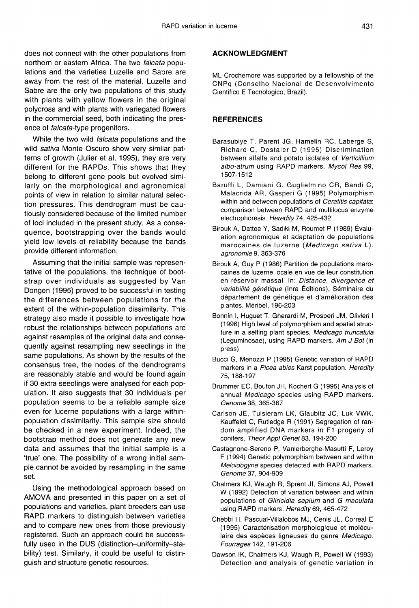does not connect with the other populations from northern or eastern Africa. The two falcata populations and the varieties Luzelle and Sabre are away from the rest of the material. Luzelle and Sabre are the only two populations of this study with plants with yellow flowers in the original polycross and with plants with variegated flowers in the commercial seed, both indicating the presence of falcata-type progenitors.

While the two wild *falcata* populations and the wild sativa Monte Oscuro show very similar patterns of growth (Julier et al, 1995), they are very different for the RAPDs. This shows that they belong to different gene pools but evolved similarly on the morphological and agronomical points of view in relation to similar natural selection pressures. This dendrogram must be cautiously considered because of the limited number of loci included in the present study. As a consequence, bootstrapping over the bands would yield low levels of reliability because the bands provide different information.

Assuming that the initial sample was representative of the populations, the technique of bootstrap over individuals as suggested by Van Dongen (1995) proved to be successful in testing the differences between populations for the extent of the within-population dissimilarity. This strategy also made it possible to investigate how robust the relationships between populations are against resamples of the original data and consequently against resampling new seedlings in the same populations. As shown by the results of the consensus tree, the nodes of the dendrograms are reasonably stable and would be found again if 30 extra seedlings were analysed for each population. It also suggests that 30 individuals per population seems to be a reliable sample size even for lucerne populations with a large withinpopulation dissimilarity. This sample size should be checked in a new experiment. Indeed, the bootstrap method does not generate any new data and assumes that the initial sample is a 'true' one. The possibility of a wrong initial sample cannot be avoided by resampling in the same set.

Using the methodological approach based on AMOVA and presented in this paper on a set of populations and varieties, plant breeders can use RAPD markers to distinguish between varieties and to compare new ones from those previously registered. Such an approach could be successfully used in the DUS (distinction-uniformity-stability) test. Similarly, it could be useful to distinguish and structure genetic resources.

## ACKNOWLEDGMENT

ML Crochemore was supported by a fellowship of the CNPq (Conselho Nacional de Desenvolvimento Cientifico E Tecnologico, Brazil).

# **REFERENCES**

- Barasubiye T, Parent JG, Hamelin RC, Laberge S, Richard C, Dostaler D (1995) Discrimination between alfalfa and potato isolates of Verticillium albo-atrum using RAPD markers. Mycol Res 99, 1507-1512
- Baruffi L, Damiani G, Guglielmino CR, Bandi C, Malacrida AR, Gasperi G (1995) Polymorphism within and between populations of Ceratitis capitata: comparison between RAPD and multilocus enzyme electrophoresis. Heredity 74, 425-432
- Birouk A, Dattee Y, Sadiki M, Roumet P (1989) Évaluation agronomique et adaptation de populations marocaines de luzerne (Medicago sativa L). agronomie 9, 363-376
- Birouk A, Guy P (1986) Partition de populations marocaines de luzerne locale en vue de leur constitution en réservoir massal. In: Distance, divergence et variabilité génétique (Inra Éditions), Séminaire du département de génétique et d'amélioration des plantes, Méribel, 196-203
- Bonnin I, Huguet T, Gherardi M, Prosperi JM, Olivieri I (1996) High level of polymorphism and spatial structure in a selfing plant species, Medicago truncatula (Leguminosae), using RAPD markers. Am J Bot (in press)
- Bucci G, Menozzi P (1995) Genetic variation of RAPD markers in a Picea abies Karst population. Heredity 75, 188-197
- Brummer EC, Bouton JH, Kochert G (1995) Analysis of annual Medicago species using RAPD markers. Genome 38, 365-367
- Carlson JE, Tulsieram LK, Glaubitz JC, Luk VWK, Kauffeldt C, Rutledge R (1991) Segregation of random amplified DNA markers in F1 progeny of conifers. Theor Appl Genet 83, 194-200
- Castagnone-Sereno P, Vanlerberghe-Masutti F, Leroy F (1994) Genetic polymorphism between and within Meloidogyne species detected with RAPD markers. Genome 37, 904-909
- Chalmers KJ, Waugh R, Sprent JI, Simons AJ, Powell W (1992) Detection of variation between and within populations of Gliricidia sepium and G maculata using RAPD markers. Heredity 69, 465-472
- Chebbi H, Pascual-Villalobos MJ, Cenis JL, Correal E (1995) Caractérisation morphologique et moléculaire des espèces ligneuses du genre Medicago. Fourrages 142, 191-206
- Dawson IK, Chalmers KJ, Waugh R, Powell W (1993) Detection and analysis of genetic variation in